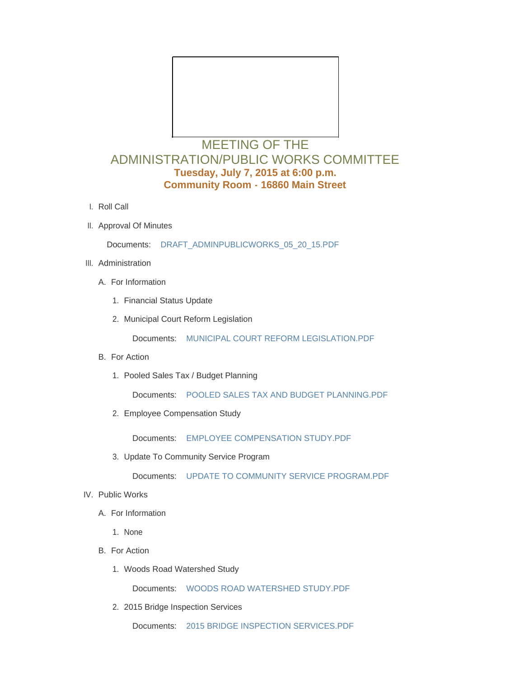

## MEETING OF THE ADMINISTRATION/PUBLIC WORKS COMMITTEE **Tuesday, July 7, 2015 at 6:00 p.m. Community Room - 16860 Main Street**

- l. Roll Call
- II. Approval Of Minutes

Documents: [DRAFT\\_ADMINPUBLICWORKS\\_05\\_20\\_15.PDF](http://www.cityofwildwood.com/AgendaCenter/ViewFile/Item/4186?fileID=5297)

- III. Administration
	- A. For Information
		- 1. Financial Status Update
		- 2. Municipal Court Reform Legislation

Documents: [MUNICIPAL COURT REFORM LEGISLATION.PDF](http://www.cityofwildwood.com/AgendaCenter/ViewFile/Item/4190?fileID=5295)

- B. For Action
	- 1. Pooled Sales Tax / Budget Planning

Documents: [POOLED SALES TAX AND BUDGET PLANNING.PDF](http://www.cityofwildwood.com/AgendaCenter/ViewFile/Item/4192?fileID=5293)

2. Employee Compensation Study

Documents: [EMPLOYEE COMPENSATION STUDY.PDF](http://www.cityofwildwood.com/AgendaCenter/ViewFile/Item/4193?fileID=5299)

3. Update To Community Service Program

Documents: [UPDATE TO COMMUNITY SERVICE PROGRAM.PDF](http://www.cityofwildwood.com/AgendaCenter/ViewFile/Item/4194?fileID=5294)

- IV. Public Works
	- A. For Information
		- 1. None
	- B. For Action
		- Woods Road Watershed Study 1.

Documents: [WOODS ROAD WATERSHED STUDY.PDF](http://www.cityofwildwood.com/AgendaCenter/ViewFile/Item/4199?fileID=5296)

2. 2015 Bridge Inspection Services

Documents: [2015 BRIDGE INSPECTION SERVICES.PDF](http://www.cityofwildwood.com/AgendaCenter/ViewFile/Item/4200?fileID=5291)